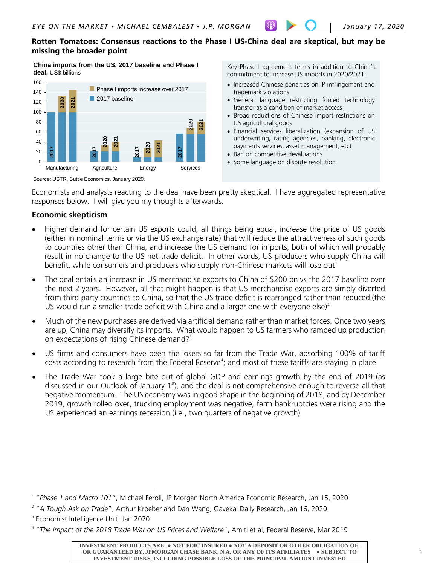## **Rotten Tomatoes: Consensus reactions to the Phase I US-China deal are skeptical, but may be missing the broader point**

**China imports from the US, 2017 baseline and Phase I deal,** US\$ billions



Key Phase I agreement terms in addition to China's commitment to increase US imports in 2020/2021:

- Increased Chinese penalties on IP infringement and trademark violations
- General language restricting forced technology transfer as a condition of market access
- Broad reductions of Chinese import restrictions on US agricultural goods
- Financial services liberalization (expansion of US underwriting, rating agencies, banking, electronic payments services, asset management, etc)
- Ban on competitive devaluations
- Some language on dispute resolution

Source: USTR, Suttle Economics. January 2020.

Economists and analysts reacting to the deal have been pretty skeptical. I have aggregated representative responses below. I will give you my thoughts afterwards.

## **Economic skepticism**

- Higher demand for certain US exports could, all things being equal, increase the price of US goods (either in nominal terms or via the US exchange rate) that will reduce the attractiveness of such goods to countries other than China, and increase the US demand for imports; both of which will probably result in no change to the US net trade deficit. In other words, US producers who supply China will benefit, while consumers and producers who supply non-Chinese markets will lose out<sup>[1](#page-0-0)</sup>
- The deal entails an increase in US merchandise exports to China of \$200 bn vs the 2017 baseline over the next 2 years. However, all that might happen is that US merchandise exports are simply diverted from third party countries to China, so that the US trade deficit is rearranged rather than reduced (the US would run a smaller trade deficit with China and a larger one with everyone else)<sup>[2](#page-0-1)</sup>
- Much of the new purchases are derived via artificial demand rather than market forces. Once two years are up, China may diversify its imports. What would happen to US farmers who ramped up production on expectations of rising Chinese demand?<sup>[3](#page-0-2)</sup>
- US firms and consumers have been the losers so far from the Trade War, absorbing 100% of tariff costs according to research from the Federal Reserve<sup>[4](#page-0-3)</sup>; and most of these tariffs are staying in place
- The Trade War took a large bite out of global GDP and earnings growth by the end of 2019 (as discussed in our Outlook of January  $1<sup>st</sup>$ , and the deal is not comprehensive enough to reverse all that negative momentum. The US economy was in good shape in the beginning of 2018, and by December 2019, growth rolled over, trucking employment was negative, farm bankruptcies were rising and the US experienced an earnings recession (i.e., two quarters of negative growth) 38. Each of the same state of the same state of the same state of the same state of the same state of the same state of the same state of the same state of the same state of the same state of the same state of the same st

 $\overline{a}$ 

<span id="page-0-0"></span><sup>1</sup> "*Phase 1 and Macro 101*", Michael Feroli, JP Morgan North America Economic Research, Jan 15, 2020

<span id="page-0-1"></span><sup>2</sup> "*A Tough Ask on Trade*", Arthur Kroeber and Dan Wang, Gavekal Daily Research, Jan 16, 2020

<span id="page-0-2"></span><sup>&</sup>lt;sup>3</sup> Economist Intelligence Unit, Jan 2020

<span id="page-0-3"></span>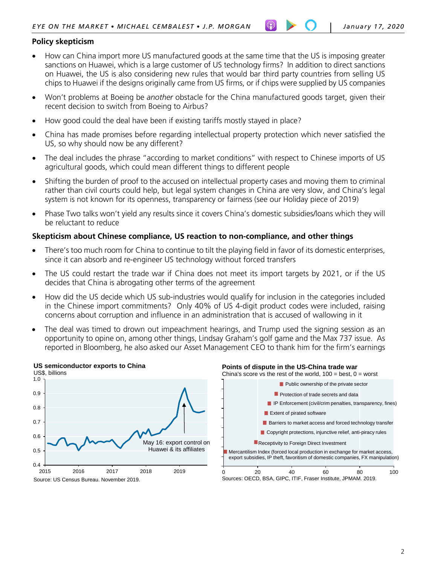## **Policy skepticism**

- How can China import more US manufactured goods at the same time that the US is imposing greater sanctions on Huawei, which is a large customer of US technology firms? In addition to direct sanctions on Huawei, the US is also considering new rules that would bar third party countries from selling US chips to Huawei if the designs originally came from US firms, or if chips were supplied by US companies
- Won't problems at Boeing be *another* obstacle for the China manufactured goods target, given their recent decision to switch from Boeing to Airbus?
- How good could the deal have been if existing tariffs mostly stayed in place?
- China has made promises before regarding intellectual property protection which never satisfied the US, so why should now be any different?
- The deal includes the phrase "according to market conditions" with respect to Chinese imports of US agricultural goods, which could mean different things to different people
- Shifting the burden of proof to the accused on intellectual property cases and moving them to criminal rather than civil courts could help, but legal system changes in China are very slow, and China's legal system is not known for its openness, transparency or fairness (see our Holiday piece of 2019)
- Phase Two talks won't yield any results since it covers China's domestic subsidies/loans which they will be reluctant to reduce

## **Skepticism about Chinese compliance, US reaction to non-compliance, and other things**

- There's too much room for China to continue to tilt the playing field in favor of its domestic enterprises, since it can absorb and re-engineer US technology without forced transfers
- The US could restart the trade war if China does not meet its import targets by 2021, or if the US decides that China is abrogating other terms of the agreement
- How did the US decide which US sub-industries would qualify for inclusion in the categories included in the Chinese import commitments? Only 40% of US 4-digit product codes were included, raising concerns about corruption and influence in an administration that is accused of wallowing in it
- The deal was timed to drown out impeachment hearings, and Trump used the signing session as an opportunity to opine on, among other things, Lindsay Graham's golf game and the Max 737 issue. As reported in Bloomberg, he also asked our Asset Management CEO to thank him for the firm's earnings



### **Points of dispute in the US-China trade war**

China's score vs the rest of the world,  $100 = \text{best}$ ,  $0 = \text{worst}$ 

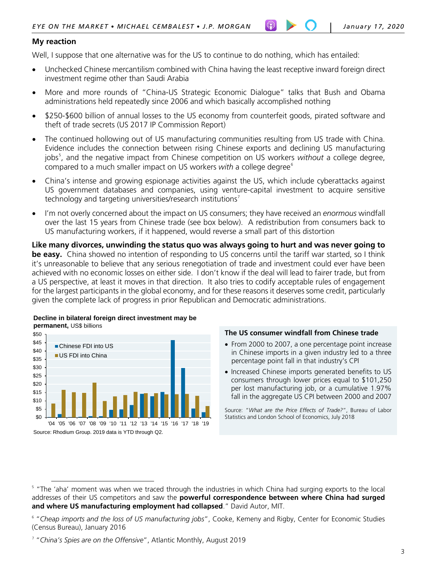## **My reaction**

Well, I suppose that one alternative was for the US to continue to do nothing, which has entailed:

- Unchecked Chinese mercantilism combined with China having the least receptive inward foreign direct investment regime other than Saudi Arabia
- More and more rounds of "China-US Strategic Economic Dialogue" talks that Bush and Obama administrations held repeatedly since 2006 and which basically accomplished nothing
- \$250-\$600 billion of annual losses to the US economy from counterfeit goods, pirated software and theft of trade secrets (US 2017 IP Commission Report)
- The continued hollowing out of US manufacturing communities resulting from US trade with China. Evidence includes the connection between rising Chinese exports and declining US manufacturing jobs<sup>[5](#page-2-0)</sup>, and the negative impact from Chinese competition on US workers *without* a college degree, compared to a much smaller impact on US workers *with* a college degree<sup>[6](#page-2-1)</sup>
- China's intense and growing espionage activities against the US, which include cyberattacks against US government databases and companies, using venture-capital investment to acquire sensitive technology and targeting universities/research institutions<sup>[7](#page-2-2)</sup>
- I'm not overly concerned about the impact on US consumers; they have received an *enormous* windfall over the last 15 years from Chinese trade (see box below). A redistribution from consumers back to US manufacturing workers, if it happened, would reverse a small part of this distortion

**Like many divorces, unwinding the status quo was always going to hurt and was never going to be easy.** China showed no intention of responding to US concerns until the tariff war started, so I think it's unreasonable to believe that any serious renegotiation of trade and investment could ever have been achieved with no economic losses on either side. I don't know if the deal will lead to fairer trade, but from a US perspective, at least it moves in that direction. It also tries to codify acceptable rules of engagement for the largest participants in the global economy, and for these reasons it deserves some credit, particularly given the complete lack of progress in prior Republican and Democratic administrations.



 $\overline{a}$ 

### **The US consumer windfall from Chinese trade**

- From 2000 to 2007, a one percentage point increase in Chinese imports in a given industry led to a three percentage point fall in that industry's CPI
- Increased Chinese imports generated benefits to US consumers through lower prices equal to \$101,250 per lost manufacturing job, or a cumulative 1.97% fall in the aggregate US CPI between 2000 and 2007

Source: "*What are the Price Effects of Trade?*", Bureau of Labor Statistics and London School of Economics, July 2018

<span id="page-2-0"></span><sup>&</sup>lt;sup>5</sup> "The 'aha' moment was when we traced through the industries in which China had surging exports to the local addresses of their US competitors and saw the **powerful correspondence between where China had surged and where US manufacturing employment had collapsed**." David Autor, MIT.

<span id="page-2-1"></span><sup>6</sup> "*Cheap imports and the loss of US manufacturing jobs*", Cooke, Kemeny and Rigby, Center for Economic Studies (Census Bureau), January 2016

<span id="page-2-2"></span><sup>7</sup> "*China's Spies are on the Offensive*", Atlantic Monthly, August 2019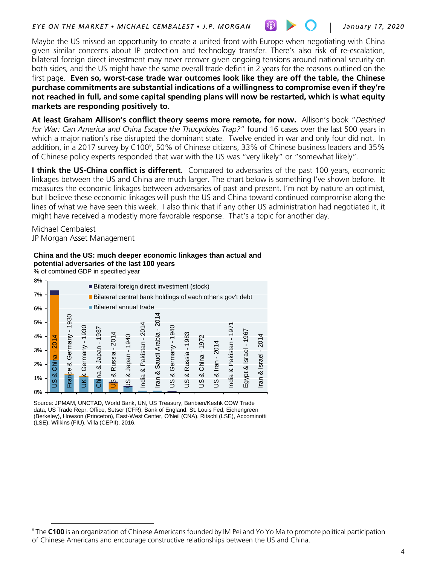Maybe the US missed an opportunity to create a united front with Europe when negotiating with China given similar concerns about IP protection and technology transfer. There's also risk of re-escalation, bilateral foreign direct investment may never recover given ongoing tensions around national security on both sides, and the US might have the same overall trade deficit in 2 years for the reasons outlined on the first page. **Even so, worst-case trade war outcomes look like they are off the table, the Chinese purchase commitments are substantial indications of a willingness to compromise even if they're not reached in full, and some capital spending plans will now be restarted, which is what equity markets are responding positively to.**

**At least Graham Allison's conflict theory seems more remote, for now.** Allison's book "*Destined for War: Can America and China Escape the Thucydides Trap?*" found 16 cases over the last 500 years in which a major nation's rise disrupted the dominant state. Twelve ended in war and only four did not. In addition, in a 2017 survey by C100<sup>[8](#page-3-0)</sup>, 50% of Chinese citizens, 33% of Chinese business leaders and 35% of Chinese policy experts responded that war with the US was "very likely" or "somewhat likely".

**I think the US-China conflict is different.** Compared to adversaries of the past 100 years, economic linkages between the US and China are much larger. The chart below is something I've shown before. It measures the economic linkages between adversaries of past and present. I'm not by nature an optimist, but I believe these economic linkages will push the US and China toward continued compromise along the lines of what we have seen this week. I also think that if any other US administration had negotiated it, it might have received a modestly more favorable response. That's a topic for another day.

Michael Cembalest JP Morgan Asset Management

# **China and the US: much deeper economic linkages than actual and potential adversaries of the last 100 years**

% of combined GDP in specified year

 $\overline{a}$ 



Source: JPMAM, UNCTAD, World Bank, UN, US Treasury, Baribieri/Keshk COW Trade data, US Trade Repr. Office, Setser (CFR), Bank of England, St. Louis Fed, Eichengreen (Berkeley), Howson (Princeton), East-West Center, O'Neil (CNA), Ritschl (LSE), Accominotti (LSE), Wilkins (FIU), Villa (CEPII). 2016.

<span id="page-3-0"></span><sup>&</sup>lt;sup>8</sup> The **C100** is an organization of Chinese Americans founded by IM Pei and Yo Yo Ma to promote political participation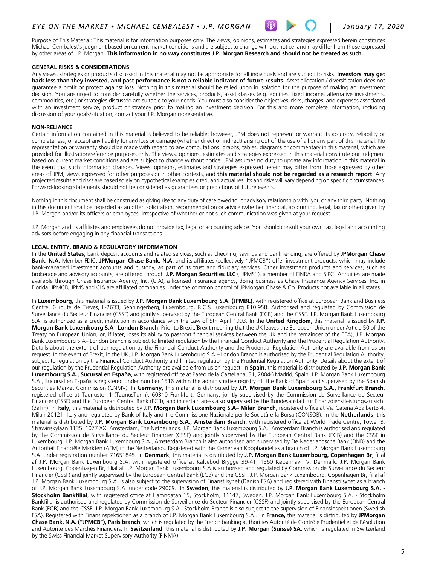Purpose of This Material: This material is for information purposes only. The views, opinions, estimates and strategies expressed herein constitutes Michael Cembalest's judgment based on current market conditions and are subject to change without notice, and may differ from those expressed by other areas of J.P. Morgan. **This information in no way constitutes J.P. Morgan Research and should not be treated as such.**

### **GENERAL RISKS & CONSIDERATIONS**

Any views, strategies or products discussed in this material may not be appropriate for all individuals and are subject to risks. **Investors may get**  back less than they invested, and past performance is not a reliable indicator of future results. Asset allocation / diversification does not guarantee a profit or protect against loss. Nothing in this material should be relied upon in isolation for the purpose of making an investment decision. You are urged to consider carefully whether the services, products, asset classes (e.g. equities, fixed income, alternative investments, commodities, etc.) or strategies discussed are suitable to your needs. You must also consider the objectives, risks, charges, and expenses associated with an investment service, product or strategy prior to making an investment decision. For this and more complete information, including discussion of your goals/situation, contact your J.P. Morgan representative.

### **NON-RELIANCE**

Certain information contained in this material is believed to be reliable; however, JPM does not represent or warrant its accuracy, reliability or completeness, or accept any liability for any loss or damage (whether direct or indirect) arising out of the use of all or any part of this material. No representation or warranty should be made with regard to any computations, graphs, tables, diagrams or commentary in this material, which are provided for illustration/reference purposes only. The views, opinions, estimates and strategies expressed in this material constitute our judgment based on current market conditions and are subject to change without notice. JPM assumes no duty to update any information in this material in the event that such information changes. Views, opinions, estimates and strategies expressed herein may differ from those expressed by other areas of JPM, views expressed for other purposes or in other contexts, and **this material should not be regarded as a research report**. Any projected results and risks are based solely on hypothetical examples cited, and actual results and risks will vary depending on specific circumstances. Forward-looking statements should not be considered as guarantees or predictions of future events.

Nothing in this document shall be construed as giving rise to any duty of care owed to, or advisory relationship with, you or any third party. Nothing in this document shall be regarded as an offer, solicitation, recommendation or advice (whether financial, accounting, legal, tax or other) given by J.P. Morgan and/or its officers or employees, irrespective of whether or not such communication was given at your request.

J.P. Morgan and its affiliates and employees do not provide tax, legal or accounting advice. You should consult your own tax, legal and accounting advisors before engaging in any financial transactions.

### **LEGAL ENTITY, BRAND & REGULATORY INFORMATION**

In the **United States**, bank deposit accounts and related services, such as checking, savings and bank lending, are offered by **JPMorgan Chase Bank, N.A.** Member FDIC. **JPMorgan Chase Bank, N.A.** and its affiliates (collectively "JPMCB") offer investment products, which may include bank-managed investment accounts and custody, as part of its trust and fiduciary services. Other investment products and services, such as brokerage and advisory accounts, are offered through **J.P. Morgan Securities LLC** ("JPMS"), a member of FINRA and SIPC. Annuities are made available through Chase Insurance Agency, Inc. (CIA), a licensed insurance agency, doing business as Chase Insurance Agency Services, Inc. in Florida. JPMCB, JPMS and CIA are affiliated companies under the common control of JPMorgan Chase & Co. Products not available in all states.

In **Luxembourg,** this material is issued by **J.P. Morgan Bank Luxembourg S.A. (JPMBL)**, with registered office at European Bank and Business Centre, 6 route de Treves, L-2633, Senningerberg, Luxembourg. R.C.S Luxembourg B10.958. Authorised and regulated by Commission de Surveillance du Secteur Financier (CSSF) and jointly supervised by the European Central Bank (ECB) and the CSSF. J.P. Morgan Bank Luxembourg S.A. is authorized as a credit institution in accordance with the Law of 5th April 1993. In the **United Kingdom**, this material is issued by **J.P. Morgan Bank Luxembourg S.A– London Branch**. Prior to Brexit,(Brexit meaning that the UK leaves the European Union under Article 50 of the Treaty on European Union, or, if later, loses its ability to passport financial services between the UK and the remainder of the EEA), J.P. Morgan Bank Luxembourg S.A– London Branch is subject to limited regulation by the Financial Conduct Authority and the Prudential Regulation Authority. Details about the extent of our regulation by the Financial Conduct Authority and the Prudential Regulation Authority are available from us on request. In the event of Brexit, in the UK, J.P. Morgan Bank Luxembourg S.A.– London Branch is authorised by the Prudential Regulation Authority, subject to regulation by the Financial Conduct Authority and limited regulation by the Prudential Regulation Authority. Details about the extent of our regulation by the Prudential Regulation Authority are available from us on request. In **Spain**, this material is distributed by **J.P. Morgan Bank Luxembourg S.A., Sucursal en España**, with registered office at Paseo de la Castellana, 31, 28046 Madrid, Spain. J.P. Morgan Bank Luxembourg S.A., Sucursal en España is registered under number 1516 within the administrative registry of the Bank of Spain and supervised by the Spanish Securities Market Commission (CNMV). In **Germany**, this material is distributed by **J.P. Morgan Bank Luxembourg S.A., Frankfurt Branch**, registered office at Taunustor 1 (TaunusTurm), 60310 Frankfurt, Germany, jointly supervised by the Commission de Surveillance du Secteur Financier (CSSF) and the European Central Bank (ECB), and in certain areas also supervised by the Bundesanstalt für Finanzdienstleistungsaufsicht (BaFin). In **Italy**, this material is distributed by **J.P. Morgan Bank Luxembourg S.A– Milan Branch**, registered office at Via Catena Adalberto 4, Milan 20121, Italy and regulated by Bank of Italy and the Commissione Nazionale per le Società e la Borsa (CONSOB). In the **Netherlands**, this material is distributed by **J.P. Morgan Bank Luxembourg S.A., Amsterdam Branch**, with registered office at World Trade Centre, Tower B, Strawinskylaan 1135, 1077 XX, Amsterdam, The Netherlands. J.P. Morgan Bank Luxembourg S.A., Amsterdam Branch is authorised and regulated by the Commission de Surveillance du Secteur Financier (CSSF) and jointly supervised by the European Central Bank (ECB) and the CSSF in Luxembourg; J.P. Morgan Bank Luxembourg S.A., Amsterdam Branch is also authorised and supervised by De Nederlandsche Bank (DNB) and the Autoriteit Financiële Markten (AFM) in the Netherlands. Registered with the Kamer van Koophandel as a branch of J.P. Morgan Bank Luxembourg S.A. under registration number 71651845. In **Denmark**, this material is distributed by **J.P. Morgan Bank Luxembourg, Copenhagen Br**, filial af J.P. Morgan Bank Luxembourg S.A. with registered office at Kalvebod Brygge 39-41, 1560 København V, Denmark. J.P. Morgan Bank Luxembourg, Copenhagen Br, filial af J.P. Morgan Bank Luxembourg S.A.is authorised and regulated by Commission de Surveillance du Secteur Financier (CSSF) and jointly supervised by the European Central Bank (ECB) and the CSSF. J.P. Morgan Bank Luxembourg, Copenhagen Br, filial af J.P. Morgan Bank Luxembourg S.A. is also subject to the supervision of Finanstilsynet (Danish FSA) and registered with Finanstilsynet as a branch of J.P. Morgan Bank Luxembourg S.A. under code 29009*.* In **Sweden**, this material is distributed by **J.P. Morgan Bank Luxembourg S.A. - Stockholm Bankfilial**, with registered office at Hamngatan 15, Stockholm, 11147, Sweden. J.P. Morgan Bank Luxembourg S.A. - Stockholm Bankfilial is authorised and regulated by Commission de Surveillance du Secteur Financier (CSSF) and jointly supervised by the European Central Bank (ECB) and the CSSF. J.P. Morgan Bank Luxembourg S.A., Stockholm Branch is also subject to the supervision of Finansinspektionen (Swedish FSA). Registered with Finansinspektionen as a branch of J.P. Morgan Bank Luxembourg S.A.*.* In **France,** this material is distributed by **JPMorgan Chase Bank, N.A. ("JPMCB"), Paris branch**, which is regulated by the French banking authorities Autorité de Contrôle Prudentiel et de Résolution and Autorité des Marchés Financiers. In **Switzerland**, this material is distributed by **J.P. Morgan (Suisse) SA**, which is regulated in Switzerland by the Swiss Financial Market Supervisory Authority (FINMA).